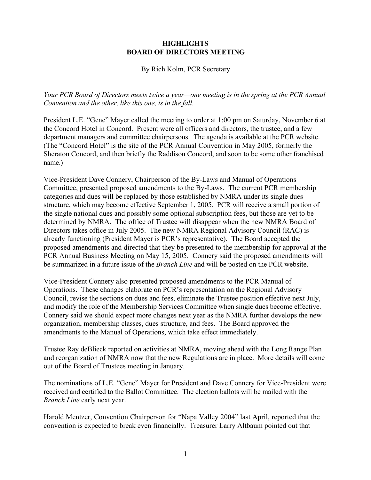## **HIGHLIGHTS BOARD OF DIRECTORS MEETING**

## By Rich Kolm, PCR Secretary

*Your PCR Board of Directors meets twice a year—one meeting is in the spring at the PCR Annual Convention and the other, like this one, is in the fall.*

President L.E. "Gene" Mayer called the meeting to order at 1:00 pm on Saturday, November 6 at the Concord Hotel in Concord. Present were all officers and directors, the trustee, and a few department managers and committee chairpersons. The agenda is available at the PCR website. (The "Concord Hotel" is the site of the PCR Annual Convention in May 2005, formerly the Sheraton Concord, and then briefly the Raddison Concord, and soon to be some other franchised name.)

Vice-President Dave Connery, Chairperson of the By-Laws and Manual of Operations Committee, presented proposed amendments to the By-Laws. The current PCR membership categories and dues will be replaced by those established by NMRA under its single dues structure, which may become effective September 1, 2005. PCR will receive a small portion of the single national dues and possibly some optional subscription fees, but those are yet to be determined by NMRA. The office of Trustee will disappear when the new NMRA Board of Directors takes office in July 2005. The new NMRA Regional Advisory Council (RAC) is already functioning (President Mayer is PCR's representative). The Board accepted the proposed amendments and directed that they be presented to the membership for approval at the PCR Annual Business Meeting on May 15, 2005. Connery said the proposed amendments will be summarized in a future issue of the *Branch Line* and will be posted on the PCR website.

Vice-President Connery also presented proposed amendments to the PCR Manual of Operations. These changes elaborate on PCR's representation on the Regional Advisory Council, revise the sections on dues and fees, eliminate the Trustee position effective next July, and modify the role of the Membership Services Committee when single dues become effective. Connery said we should expect more changes next year as the NMRA further develops the new organization, membership classes, dues structure, and fees. The Board approved the amendments to the Manual of Operations, which take effect immediately.

Trustee Ray deBlieck reported on activities at NMRA, moving ahead with the Long Range Plan and reorganization of NMRA now that the new Regulations are in place. More details will come out of the Board of Trustees meeting in January.

The nominations of L.E. "Gene" Mayer for President and Dave Connery for Vice-President were received and certified to the Ballot Committee. The election ballots will be mailed with the *Branch Line* early next year.

Harold Mentzer, Convention Chairperson for "Napa Valley 2004" last April, reported that the convention is expected to break even financially. Treasurer Larry Altbaum pointed out that